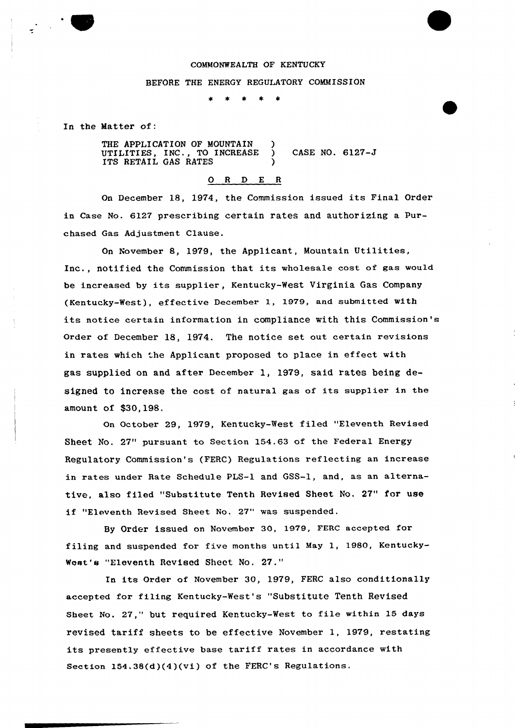#### COMMONWEALTH OF KENTUCKY

# BEFORE THE ENERGY REGULATORY COMMISSION

In the Matter of:

THE APPLICATION OF MOUNTAIN )<br>UTILITIES. INC.. TO INCREASE ) UTILITIES, INC., TO INCREASE ) CASE NO. 6127-J ITS RETAIL GAS RATES

### 0 <sup>R</sup> <sup>D</sup> E R

On December 18, 1974, the Commission issued its Final Order in Case No. 6127 prescribing certain rates and authorizing a Purchased Gas Adjustment Clause.

On November 8, 1979, the Applicant, Mountain Utilities, Inc,, notified the Commission that its wholesale cost of gas would be increased by its supplier, Kentucky-West Virginia Gas Company (Kentucky-West), effective December 1, 1979, and submitted with its notice certain information in compliance with this Commission's Order of December 18, 1974. The notice set out certain revisions in rates which the Applicant proposed to place in effect with gas supplied on and after December 1, 1979, said rates being designed to increase the cost of natural gas of its supplier in the amount of \$30,198.

On October 29, 1979, Kentucky-West filed "Eleventh Revised Sheet No. 27" pursuant to Section 154.63 of the Federal Energy Regulatory Commission's (FERC) Regulations reflecting an increase in rates under Rate Schedule PLS-1 and GSS-l, and, as an alternative, also filed "Substitute Tenth Revised Sheet No. 27" for use if "Eleventh Revised Sheet No. 27" was suspended.

By Order issued on November 30, 1979, FERC accepted for filing and suspended for five months until May 1, 1980, Kentucky-Wost's "Eleventh Revised Sheet No. 27."

In its Order of November 30, 1979, FERC also conditionally accepted for filing Kentucky-West's "Substitute Tenth Revised Sheet No. 27," but required Kentucky-West to file within 15 days revised tariff sheets to be effective November 1, 1979, restating its presently effective base tariff rates in accordance with Section 154.38(d)(4)(vi) of the FFRC's Regulations.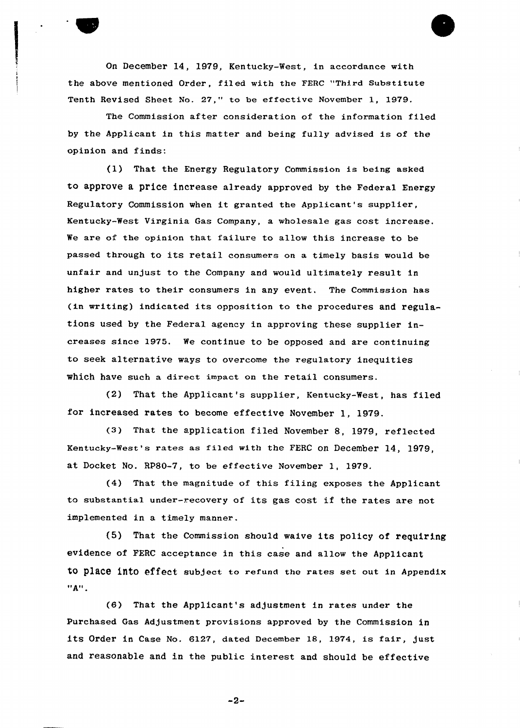On December 14, 1979, Kentucky-West, in accordance with the above mentioned Order, filed with the FERC "Third Substitute Tenth Revised Sheet No. 27," to be effective November 1, 1979.

The Commission after consideration of the information filed by the Applicant in this matter and being fully advised is of the opinion and finds:

(1) That the Energy Regulatory Commissicn is being asked to approve a price increase already approved by the Federal Energy Regulatory Commission when it granted the Applicant's supplier, Kentucky-West Virginia Gas Company, a wholesale gas cost increase. We are of the opinion that failure to allow this increase to be passed through to its retail consumers on a timely basis would be unfair and unjust to the Company and would ultimately result in higher rates to their consumers in any event. The Commission has (in writing) indicated its opposition to the procedures and regulations used by the Federal agency in approving these supplier increases since 1975. We continue to be opposed and are continuing to seek alternative ways to overcome the regulatory inequities which have such a direct impact on the retail consumers.

(2) That the Applicant's supplier, Kentucky-West, has filed for increased rates to become effective November 1, 1979.

(3) That the application filed November 8, 1979, reflected Kentucky-West's rates as filed with the FERC on December 14, 1979, at Docket No. RP80-7, to be ef fective November 1, 1979.

(4) That the magnitude of this filing exposes the Applicant to substantial under-recovery of its gas cost if the rates are not implemented in a timely manner.

(5) That the Commission should waive its policy of requiring evidence of FERC acceptance in this case and allow the Applicant to place into effect subject to refund the rates set out in Appendix  $"A"$ .

(6) That the Applicant's adjustment in rates under the Purchased Gas Adjustment provisions approved by the Commission in its Order in Case No. 6127, dated December 18, 1974, is fair, just and reasonable and in the public interest and should be effective

 $-2-$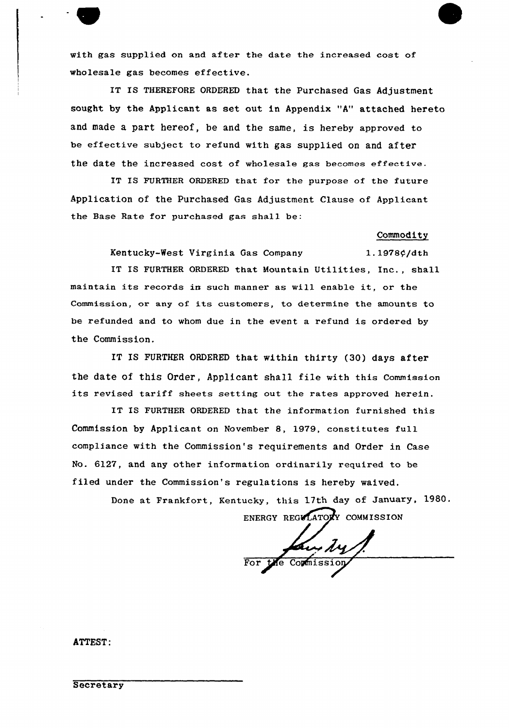with gas supplied on and after the date the increased cost of wholesale gas becomes effective.

IT IS THEREFORE ORDERED that the Purchased Gas Adjustment sought by the Applicant as set out in Appendix "A" attached hereto and made a part hereof, be and the same, is hereby approved to be effective subject to refund with gas supplied on and after the date the increased cost of wholesale gas becomes effective.

IT IS FURTHER ORDERED that for the purpose of the future Application of the Purchased Gas Adjustment Clause of Applicant the Base Rate for purchased gas shall be:

# Commodity

Kentucky-West Virginia Gas Company 1.1978\$/dth

IT IS FURTHER ORDERED that Mountain Utilities, Inc., shall maintain its records in such manner as will enable it, or the Commission, or any of its customers, to detexmine the amounts to be refunded and to whom due in the event a refund is ordered by the Commission.

IT IS FURTHER ORDERED that within thirty (30) days after the date of this Order, Applicant shall file with this Commission its revised tariff sheets setting out the rates approved herein.

IT IS FURTHER ORDERED that the information furnished this Commission by Applicant on November 8, 1979, constitutes full compliance with the Commission's requirements and Order in Case No. 6127, and any other information ordinarily required to be filed under the Commission's regulations is hereby waived.

> Done at Frankfoxt, Kentucky, this 17th day of January, 1980. ENERGY REGULATORY COMMISSION

Kome dy

ATTEST:

**Secretary**